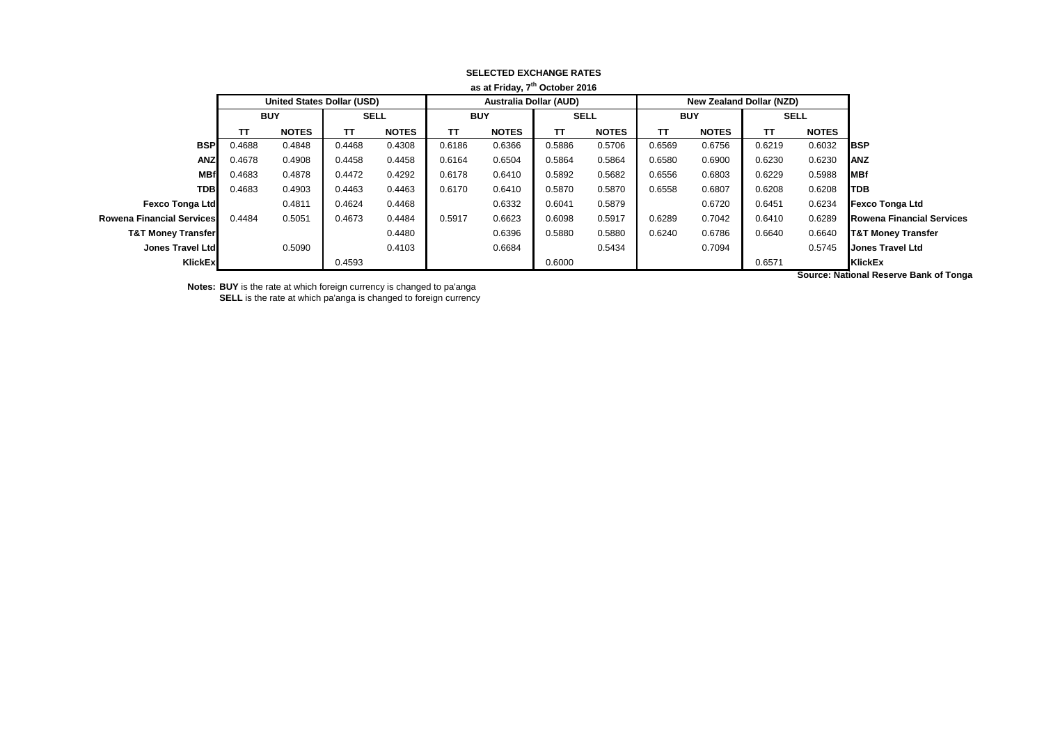| as at Friday, 7" October 2016    |            |                                   |             |              |                               |              |             |              |            |                                 |             |              |                                  |
|----------------------------------|------------|-----------------------------------|-------------|--------------|-------------------------------|--------------|-------------|--------------|------------|---------------------------------|-------------|--------------|----------------------------------|
|                                  |            | <b>United States Dollar (USD)</b> |             |              | <b>Australia Dollar (AUD)</b> |              |             |              |            | <b>New Zealand Dollar (NZD)</b> |             |              |                                  |
|                                  | <b>BUY</b> |                                   | <b>SELL</b> |              | <b>BUY</b>                    |              | <b>SELL</b> |              | <b>BUY</b> |                                 | <b>SELL</b> |              |                                  |
|                                  | тτ         | <b>NOTES</b>                      | TΤ          | <b>NOTES</b> | TΤ                            | <b>NOTES</b> | TΤ          | <b>NOTES</b> | TΤ         | <b>NOTES</b>                    | TΤ          | <b>NOTES</b> |                                  |
| <b>BSP</b>                       | 0.4688     | 0.4848                            | 0.4468      | 0.4308       | 0.6186                        | 0.6366       | 0.5886      | 0.5706       | 0.6569     | 0.6756                          | 0.6219      | 0.6032       | <b>IBSP</b>                      |
| <b>ANZ</b>                       | 0.4678     | 0.4908                            | 0.4458      | 0.4458       | 0.6164                        | 0.6504       | 0.5864      | 0.5864       | 0.6580     | 0.6900                          | 0.6230      | 0.6230       | ANZ                              |
| <b>MBf</b>                       | 0.4683     | 0.4878                            | 0.4472      | 0.4292       | 0.6178                        | 0.6410       | 0.5892      | 0.5682       | 0.6556     | 0.6803                          | 0.6229      | 0.5988       | <b>MBf</b>                       |
| <b>TDB</b>                       | 0.4683     | 0.4903                            | 0.4463      | 0.4463       | 0.6170                        | 0.6410       | 0.5870      | 0.5870       | 0.6558     | 0.6807                          | 0.6208      | 0.6208       | <b>I</b> TDB                     |
| <b>Fexco Tonga Ltd</b>           |            | 0.4811                            | 0.4624      | 0.4468       |                               | 0.6332       | 0.6041      | 0.5879       |            | 0.6720                          | 0.6451      | 0.6234       | Fexco Tonga Ltd                  |
| <b>Rowena Financial Services</b> | 0.4484     | 0.5051                            | 0.4673      | 0.4484       | 0.5917                        | 0.6623       | 0.6098      | 0.5917       | 0.6289     | 0.7042                          | 0.6410      | 0.6289       | <b>Rowena Financial Services</b> |
| <b>T&amp;T Money Transfer</b>    |            |                                   |             | 0.4480       |                               | 0.6396       | 0.5880      | 0.5880       | 0.6240     | 0.6786                          | 0.6640      | 0.6640       | <b>T&amp;T Money Transfer</b>    |
| Jones Travel Ltd                 |            | 0.5090                            |             | 0.4103       |                               | 0.6684       |             | 0.5434       |            | 0.7094                          |             | 0.5745       | <b>Jones Travel Ltd</b>          |
| <b>KlickEx</b>                   |            |                                   | 0.4593      |              |                               |              | 0.6000      |              |            |                                 | 0.6571      |              | KlickEx                          |
|                                  |            |                                   |             |              |                               |              |             |              |            |                                 |             |              |                                  |

## **SELECTED EXCHANGE RATES as at Friday, 7th October 2016**

**Notes: BUY** is the rate at which foreign currency is changed to pa'anga

**SELL** is the rate at which pa'anga is changed to foreign currency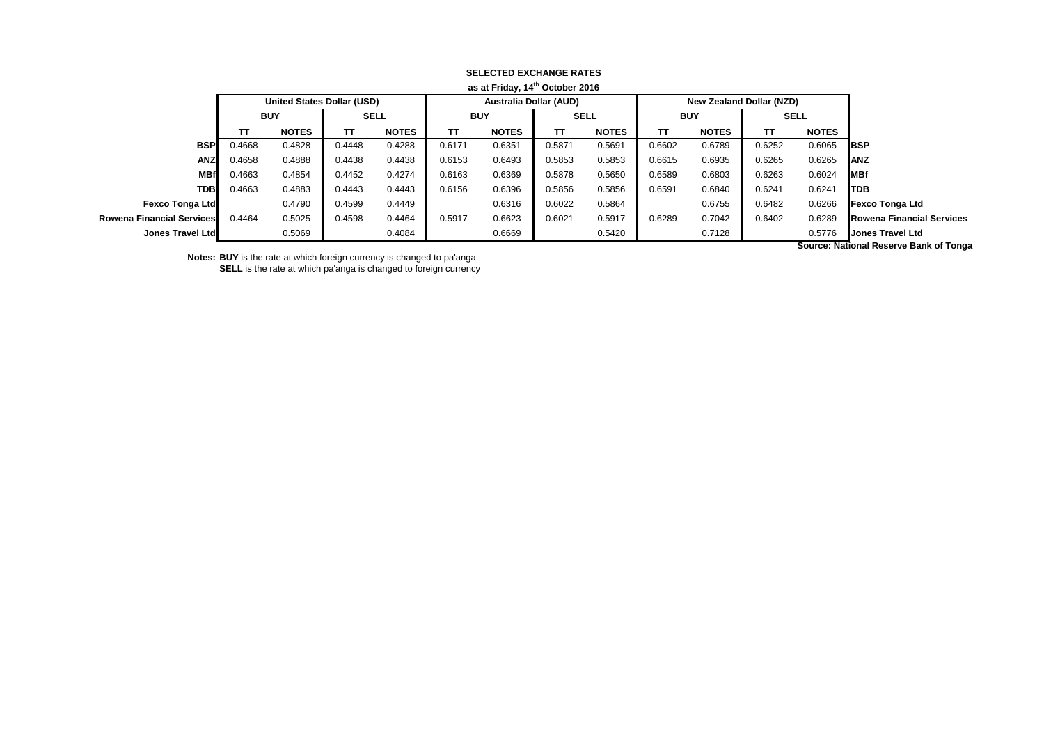|                                  | as at Friday, 14th October 2016   |              |             |              |            |                               |             |              |            |                          |             |              |                                  |
|----------------------------------|-----------------------------------|--------------|-------------|--------------|------------|-------------------------------|-------------|--------------|------------|--------------------------|-------------|--------------|----------------------------------|
|                                  | <b>United States Dollar (USD)</b> |              |             |              |            | <b>Australia Dollar (AUD)</b> |             |              |            | New Zealand Dollar (NZD) |             |              |                                  |
|                                  | <b>BUY</b>                        |              | <b>SELL</b> |              | <b>BUY</b> |                               | <b>SELL</b> |              | <b>BUY</b> |                          | <b>SELL</b> |              |                                  |
|                                  | тτ                                | <b>NOTES</b> | тτ          | <b>NOTES</b> | TΤ         | <b>NOTES</b>                  | TΤ          | <b>NOTES</b> | TΤ         | <b>NOTES</b>             | тτ          | <b>NOTES</b> |                                  |
| <b>BSP</b>                       | 0.4668                            | 0.4828       | 0.4448      | 0.4288       | 0.6171     | 0.6351                        | 0.5871      | 0.5691       | 0.6602     | 0.6789                   | 0.6252      | 0.6065       | <b>IBSP</b>                      |
| <b>ANZ</b>                       | 0.4658                            | 0.4888       | 0.4438      | 0.4438       | 0.6153     | 0.6493                        | 0.5853      | 0.5853       | 0.6615     | 0.6935                   | 0.6265      | 0.6265       | <b>IANZ</b>                      |
| <b>MBf</b>                       | 0.4663                            | 0.4854       | 0.4452      | 0.4274       | 0.6163     | 0.6369                        | 0.5878      | 0.5650       | 0.6589     | 0.6803                   | 0.6263      | 0.6024       | <b>IMBf</b>                      |
| <b>TDB</b>                       | 0.4663                            | 0.4883       | 0.4443      | 0.4443       | 0.6156     | 0.6396                        | 0.5856      | 0.5856       | 0.6591     | 0.6840                   | 0.6241      | 0.6241       | <b>ITDB</b>                      |
| <b>Fexco Tonga Ltd</b>           |                                   | 0.4790       | 0.4599      | 0.4449       |            | 0.6316                        | 0.6022      | 0.5864       |            | 0.6755                   | 0.6482      | 0.6266       | <b>Fexco Tonga Ltd</b>           |
| <b>Rowena Financial Services</b> | 0.4464                            | 0.5025       | 0.4598      | 0.4464       | 0.5917     | 0.6623                        | 0.6021      | 0.5917       | 0.6289     | 0.7042                   | 0.6402      | 0.6289       | <b>Rowena Financial Services</b> |
| Jones Travel Ltd                 |                                   | 0.5069       |             | 0.4084       |            | 0.6669                        |             | 0.5420       |            | 0.7128                   |             | 0.5776       | <b>Jones Travel Ltd</b>          |

## **SELECTED EXCHANGE RATES**

**Notes: BUY** is the rate at which foreign currency is changed to pa'anga

**SELL** is the rate at which pa'anga is changed to foreign currency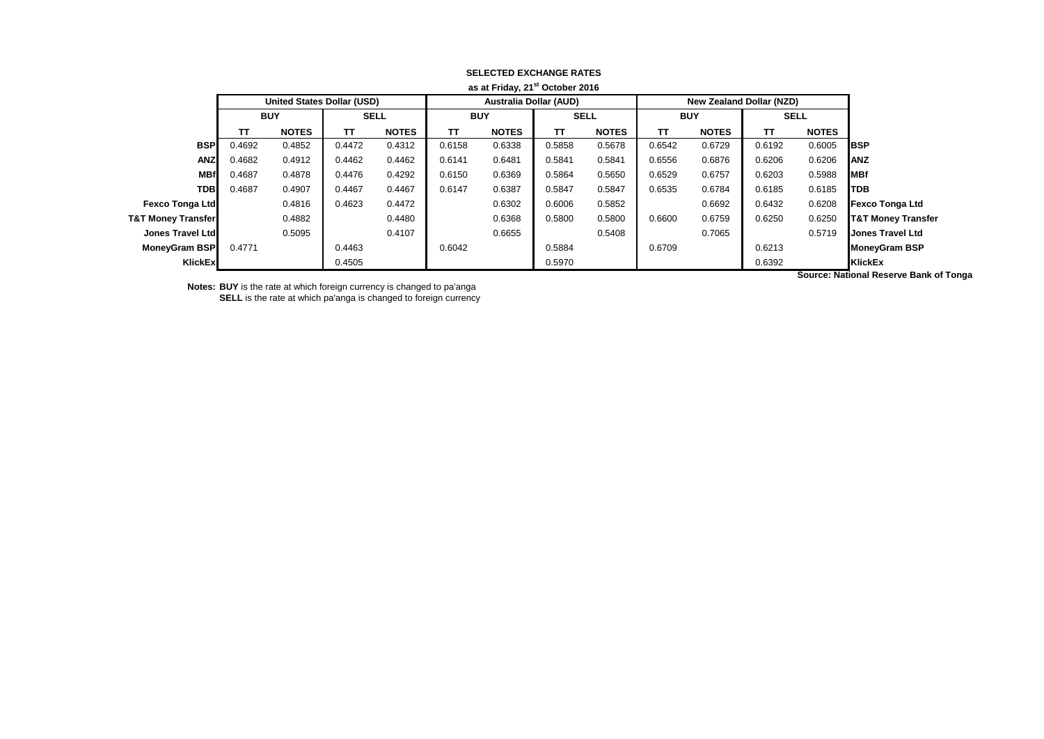| as at Friday, 21 October 2016 |            |                                   |             |              |            |                               |             |              |            |                                 |             |              |                               |
|-------------------------------|------------|-----------------------------------|-------------|--------------|------------|-------------------------------|-------------|--------------|------------|---------------------------------|-------------|--------------|-------------------------------|
|                               |            | <b>United States Dollar (USD)</b> |             |              |            | <b>Australia Dollar (AUD)</b> |             |              |            | <b>New Zealand Dollar (NZD)</b> |             |              |                               |
|                               | <b>BUY</b> |                                   | <b>SELL</b> |              | <b>BUY</b> |                               | <b>SELL</b> |              | <b>BUY</b> |                                 | <b>SELL</b> |              |                               |
|                               | TΤ         | <b>NOTES</b>                      | TΤ          | <b>NOTES</b> | TΤ         | <b>NOTES</b>                  | TΤ          | <b>NOTES</b> | ΤT         | <b>NOTES</b>                    | π           | <b>NOTES</b> |                               |
| <b>BSP</b>                    | 0.4692     | 0.4852                            | 0.4472      | 0.4312       | 0.6158     | 0.6338                        | 0.5858      | 0.5678       | 0.6542     | 0.6729                          | 0.6192      | 0.6005       | <b>BSP</b>                    |
| <b>ANZ</b>                    | 0.4682     | 0.4912                            | 0.4462      | 0.4462       | 0.6141     | 0.6481                        | 0.5841      | 0.5841       | 0.6556     | 0.6876                          | 0.6206      | 0.6206       | <b>ANZ</b>                    |
| <b>MBf</b>                    | 0.4687     | 0.4878                            | 0.4476      | 0.4292       | 0.6150     | 0.6369                        | 0.5864      | 0.5650       | 0.6529     | 0.6757                          | 0.6203      | 0.5988       | <b>MBf</b>                    |
| <b>TDB</b>                    | 0.4687     | 0.4907                            | 0.4467      | 0.4467       | 0.6147     | 0.6387                        | 0.5847      | 0.5847       | 0.6535     | 0.6784                          | 0.6185      | 0.6185       | <b>TDB</b>                    |
| <b>Fexco Tonga Ltd</b>        |            | 0.4816                            | 0.4623      | 0.4472       |            | 0.6302                        | 0.6006      | 0.5852       |            | 0.6692                          | 0.6432      | 0.6208       | <b>Fexco Tonga Ltd</b>        |
| <b>T&amp;T Money Transfer</b> |            | 0.4882                            |             | 0.4480       |            | 0.6368                        | 0.5800      | 0.5800       | 0.6600     | 0.6759                          | 0.6250      | 0.6250       | <b>T&amp;T Money Transfer</b> |
| Jones Travel Ltd              |            | 0.5095                            |             | 0.4107       |            | 0.6655                        |             | 0.5408       |            | 0.7065                          |             | 0.5719       | Jones Travel Ltd              |
| MoneyGram BSP                 | 0.4771     |                                   | 0.4463      |              | 0.6042     |                               | 0.5884      |              | 0.6709     |                                 | 0.6213      |              | <b>MoneyGram BSP</b>          |
| KlickEx                       |            |                                   | 0.4505      |              |            |                               | 0.5970      |              |            |                                 | 0.6392      |              | <b>KlickEx</b>                |
|                               |            |                                   |             |              |            |                               |             |              |            |                                 |             |              | .                             |

## **SELECTED EXCHANGE RATES as at Friday, 21st October 2016**

**Notes: BUY** is the rate at which foreign currency is changed to pa'anga

**SELL** is the rate at which pa'anga is changed to foreign currency